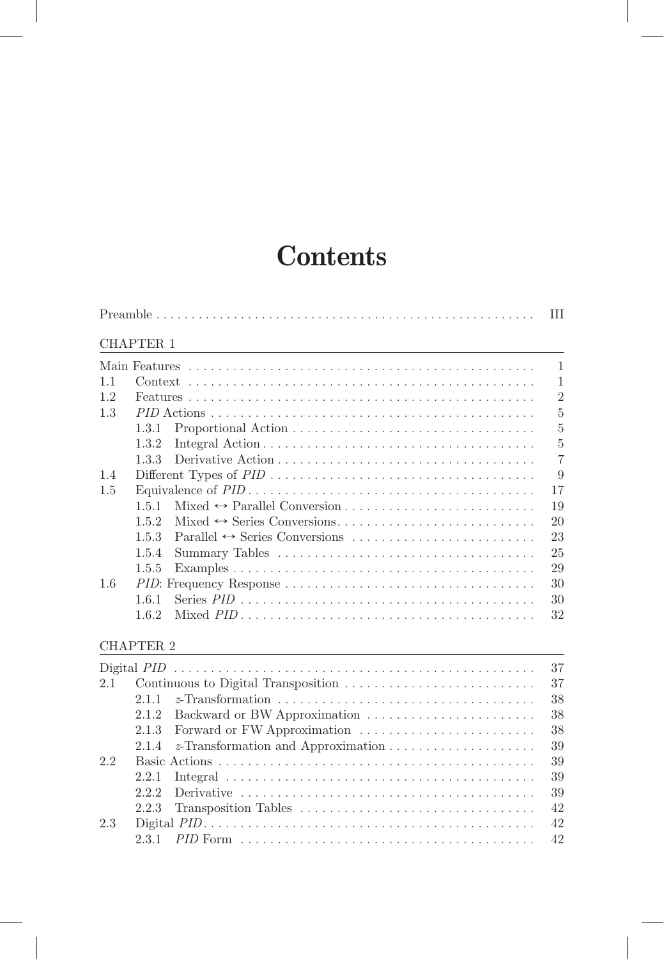# **Contents**

|     |                  |                                                                                            | Ш              |
|-----|------------------|--------------------------------------------------------------------------------------------|----------------|
|     | <b>CHAPTER 1</b> |                                                                                            |                |
|     |                  |                                                                                            | $\mathbf{1}$   |
| 1.1 |                  |                                                                                            | $\mathbf{1}$   |
| 1.2 |                  |                                                                                            | $\overline{2}$ |
| 1.3 |                  |                                                                                            | $\overline{5}$ |
|     | 1.3.1            |                                                                                            | $\overline{5}$ |
|     | 1.3.2            |                                                                                            | $\overline{5}$ |
|     | 1.3.3            |                                                                                            | $\overline{7}$ |
| 1.4 |                  |                                                                                            | 9              |
| 1.5 |                  |                                                                                            | 17             |
|     | 1.5.1            |                                                                                            | 19             |
|     | 1.5.2            |                                                                                            | 20             |
|     | 1.5.3            |                                                                                            | 23             |
|     | 1.5.4            |                                                                                            | 25             |
|     | 1.5.5            |                                                                                            | 29             |
| 1.6 |                  |                                                                                            | 30             |
|     | 1.6.1            | Series $PID \dots \dots \dots \dots \dots \dots \dots \dots \dots \dots \dots \dots \dots$ | 30             |
|     | 1.6.2            |                                                                                            | 32             |
|     | <b>CHAPTER 2</b> |                                                                                            |                |
|     |                  |                                                                                            | 37             |
| 2.1 |                  | Continuous to Digital Transposition                                                        | 37             |
|     | 2.1.1            |                                                                                            | 38             |
|     | 2.1.2            | Backward or BW Approximation                                                               | 38             |
|     | 2.1.3            | Forward or FW Approximation                                                                | 38             |
|     | 2.1.4            |                                                                                            | 39             |
| 2.2 |                  |                                                                                            | 39             |
|     | 2.2.1            |                                                                                            | 39             |
|     | 2.2.2            |                                                                                            | 39             |
|     | 2.2.3            | Transposition Tables                                                                       | 42             |
| 2.3 |                  |                                                                                            | 42             |
|     | 2.3.1            |                                                                                            | 42             |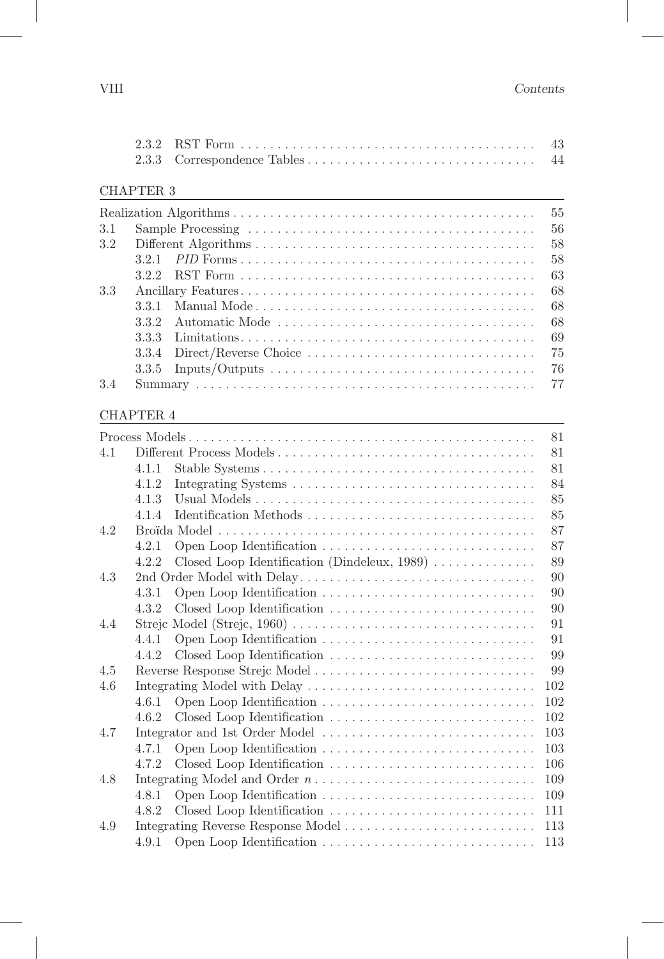| <b>CHAPTER 3</b> |
|------------------|
|------------------|

|     |     | 55    |
|-----|-----|-------|
| 3.1 |     | $-56$ |
| 3.2 |     | 58    |
|     |     | 58    |
|     |     | -63   |
| 3.3 |     | -68   |
|     |     | -68   |
|     | 332 | -68   |
|     |     | -69   |
|     |     |       |
|     |     |       |
| 3.4 |     |       |

|     |       |                                                                                         | 81  |
|-----|-------|-----------------------------------------------------------------------------------------|-----|
| 4.1 |       |                                                                                         | 81  |
|     | 4.1.1 |                                                                                         | 81  |
|     | 4.1.2 |                                                                                         | 84  |
|     | 4.1.3 |                                                                                         | 85  |
|     | 4.1.4 | Identification Methods                                                                  | 85  |
| 4.2 |       |                                                                                         | 87  |
|     | 4.2.1 |                                                                                         | 87  |
|     | 4.2.2 | Closed Loop Identification (Dindeleux, $1989$ )                                         | 89  |
| 4.3 |       | 2nd Order Model with Delay                                                              | 90  |
|     | 4.3.1 |                                                                                         | 90  |
|     | 4.3.2 | Closed Loop Identification                                                              | 90  |
| 4.4 |       |                                                                                         | 91  |
|     | 4.4.1 |                                                                                         | 91  |
|     | 4.4.2 |                                                                                         | 99  |
| 4.5 |       |                                                                                         | 99  |
| 4.6 |       |                                                                                         | 102 |
|     | 4.6.1 |                                                                                         | 102 |
|     | 4.6.2 |                                                                                         | 102 |
| 4.7 |       | Integrator and 1st Order Model                                                          | 103 |
|     | 4.7.1 |                                                                                         | 103 |
|     | 4.7.2 |                                                                                         | 106 |
| 4.8 |       | Integrating Model and Order $n \ldots \ldots \ldots \ldots \ldots \ldots \ldots \ldots$ | 109 |
|     | 4.8.1 |                                                                                         | 109 |
|     | 4.8.2 |                                                                                         | 111 |
| 4.9 |       |                                                                                         | 113 |
|     | 4.9.1 |                                                                                         | 113 |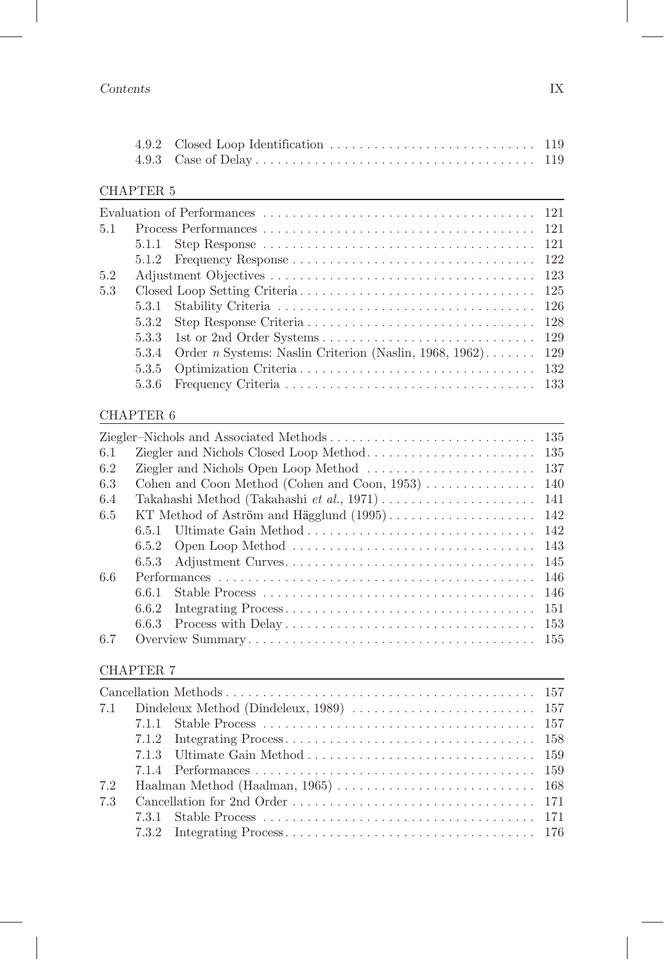| 5.1 |       |                                                                         |  |
|-----|-------|-------------------------------------------------------------------------|--|
|     |       |                                                                         |  |
|     |       |                                                                         |  |
| 5.2 |       |                                                                         |  |
| 5.3 |       |                                                                         |  |
|     |       |                                                                         |  |
|     |       |                                                                         |  |
|     |       |                                                                         |  |
|     |       | 5.3.4 Order <i>n</i> Systems: Naslin Criterion (Naslin, 1968, 1962) 129 |  |
|     |       |                                                                         |  |
|     | 5.3.6 |                                                                         |  |
|     |       |                                                                         |  |

## CHAPTER 6

| 135<br>6.1<br>137<br>6.2<br>Cohen and Coon Method (Cohen and Coon, $1953$ ) $\ldots$<br>140<br>6.3<br>141<br>6.4<br>142<br>6.5<br>6.5.1 Ultimate Gain Method<br>142<br>6.5.2 | 135 |
|------------------------------------------------------------------------------------------------------------------------------------------------------------------------------|-----|
|                                                                                                                                                                              |     |
|                                                                                                                                                                              |     |
|                                                                                                                                                                              |     |
|                                                                                                                                                                              |     |
|                                                                                                                                                                              |     |
|                                                                                                                                                                              |     |
|                                                                                                                                                                              | 143 |
| 145<br>Adjustment Curves<br>6.5.3                                                                                                                                            |     |
| 6.6<br>146                                                                                                                                                                   |     |
| 146<br>6.6.1                                                                                                                                                                 |     |
| 151<br>6.6.2                                                                                                                                                                 |     |
| 153                                                                                                                                                                          |     |
| 6.7<br>155                                                                                                                                                                   |     |

| 7.2 |  |  |
|-----|--|--|
| 7.3 |  |  |
|     |  |  |
|     |  |  |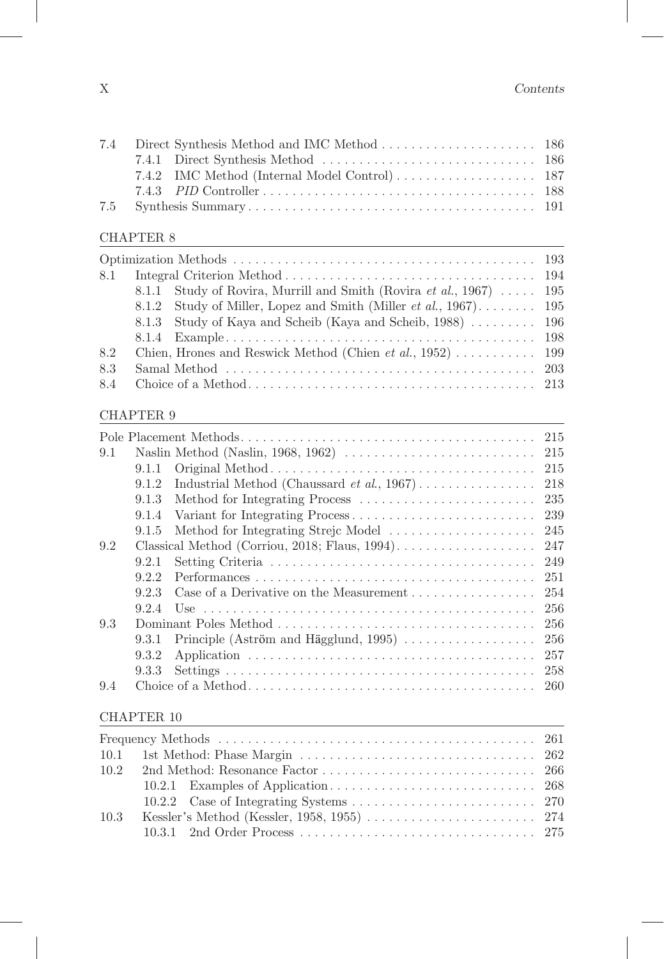#### CHAPTER 8

|     | 8.1.1 Study of Rovira, Murrill and Smith (Rovira <i>et al.</i> , 1967)  195 |  |
|-----|-----------------------------------------------------------------------------|--|
|     | 8.1.2 Study of Miller, Lopez and Smith (Miller <i>et al.</i> , 1967) 195    |  |
|     | 8.1.3 Study of Kaya and Scheib (Kaya and Scheib, 1988)  196                 |  |
|     |                                                                             |  |
| 8.2 |                                                                             |  |
| 8.3 |                                                                             |  |
|     |                                                                             |  |

#### CHAPTER 9

|     |       |                                                                                                  | 215 |
|-----|-------|--------------------------------------------------------------------------------------------------|-----|
| 9.1 |       | Naslin Method (Naslin, 1968, 1962) $\ldots \ldots \ldots \ldots \ldots \ldots \ldots \ldots 215$ |     |
|     | 9.1.1 |                                                                                                  | 215 |
|     | 9.1.2 |                                                                                                  | 218 |
|     | 9.1.3 |                                                                                                  | 235 |
|     | 9.1.4 |                                                                                                  | 239 |
|     | 9.1.5 | Method for Integrating Strejc Model                                                              | 245 |
| 9.2 |       |                                                                                                  | 247 |
|     | 9.2.1 |                                                                                                  | 249 |
|     | 9.2.2 |                                                                                                  | 251 |
|     | 923   | Case of a Derivative on the Measurement $\dots \dots \dots \dots \dots$                          | 254 |
|     | 9.2.4 |                                                                                                  | 256 |
| 9.3 |       |                                                                                                  | 256 |
|     | 9.3.1 | Principle (Aström and Hägglund, 1995) $\ldots \ldots \ldots \ldots \ldots$                       | 256 |
|     | 9.3.2 |                                                                                                  | 257 |
|     | 9.3.3 |                                                                                                  | 258 |
| 9.4 |       |                                                                                                  | 260 |

| 10.3 | Kessler's Method (Kessler, 1958, 1955) $\ldots \ldots \ldots \ldots \ldots \ldots \ldots 274$ |  |
|------|-----------------------------------------------------------------------------------------------|--|
|      |                                                                                               |  |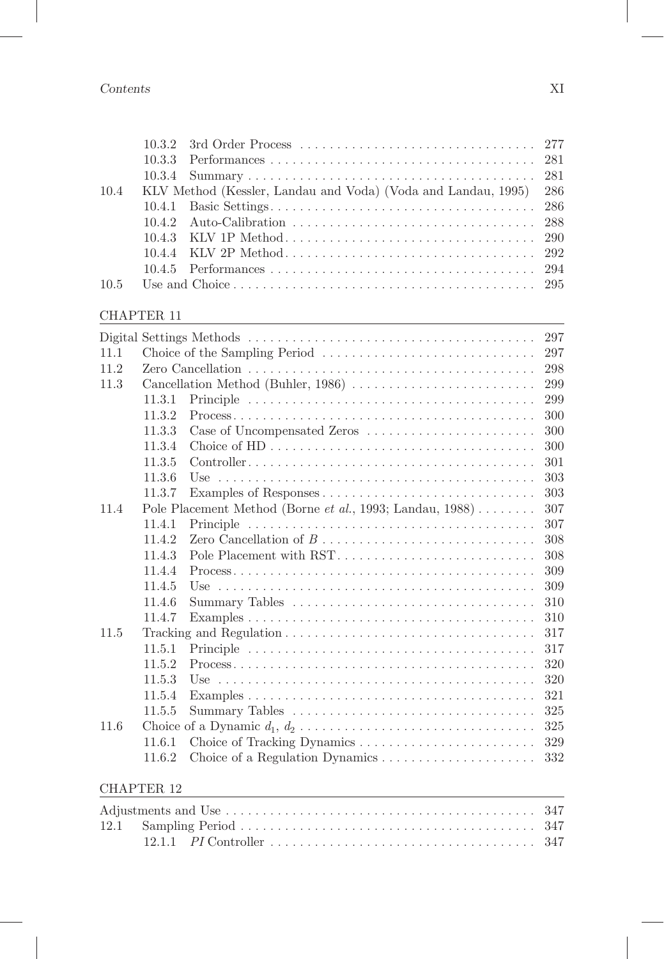| 10.4<br>10.5 | 10.3.2<br>10.3.3<br>10.3.4<br>10.4.1<br>10.4.2<br>10.4.3<br>10.4.4<br>10.4.5 | 3rd Order Process<br>277<br>281<br>281<br>KLV Method (Kessler, Landau and Voda) (Voda and Landau, 1995)<br>286<br>286<br>288<br>KLV 1P Method<br>290<br>KLV 2P Method<br>292<br>294<br>295 |
|--------------|------------------------------------------------------------------------------|--------------------------------------------------------------------------------------------------------------------------------------------------------------------------------------------|
|              |                                                                              |                                                                                                                                                                                            |
|              | <b>CHAPTER 11</b>                                                            |                                                                                                                                                                                            |
|              |                                                                              | 297                                                                                                                                                                                        |
| 11.1         |                                                                              | 297                                                                                                                                                                                        |
| 11.2         |                                                                              | 298                                                                                                                                                                                        |
| 11.3         |                                                                              | Cancellation Method (Buhler, 1986)<br>299                                                                                                                                                  |
|              | 11.3.1                                                                       | 299                                                                                                                                                                                        |
|              | 11.3.2                                                                       | 300                                                                                                                                                                                        |
|              | 11.3.3                                                                       | Case of Uncompensated Zeros<br>300                                                                                                                                                         |
|              | 11.3.4                                                                       | 300                                                                                                                                                                                        |
|              | 11.3.5                                                                       | 301                                                                                                                                                                                        |
|              | 11.3.6                                                                       | 303                                                                                                                                                                                        |
|              | 11.3.7                                                                       | 303                                                                                                                                                                                        |
| 11.4         |                                                                              | Pole Placement Method (Borne et al., 1993; Landau, 1988)<br>307                                                                                                                            |
|              | 11.4.1                                                                       | 307                                                                                                                                                                                        |
|              | 11.4.2                                                                       | 308                                                                                                                                                                                        |
|              | 11.4.3                                                                       | Pole Placement with RST<br>308                                                                                                                                                             |
|              | 11.4.4                                                                       | 309                                                                                                                                                                                        |
|              | 11.4.5                                                                       | 309                                                                                                                                                                                        |
|              | 11.4.6                                                                       | Summary Tables<br>310                                                                                                                                                                      |
|              | 11.4.7                                                                       | 310                                                                                                                                                                                        |
| 11.5         |                                                                              | 317                                                                                                                                                                                        |
|              | 11.5.1                                                                       | 317                                                                                                                                                                                        |
|              | 11.5.2                                                                       | $Process \ldots \ldots \ldots \ldots \ldots \ldots \ldots \ldots \ldots \ldots \ldots \ldots \ldots$<br>320                                                                                |
|              | 11.5.3                                                                       | 320                                                                                                                                                                                        |
|              | 11 5 $\Lambda$                                                               | $Fv$ amples $\blacksquare$                                                                                                                                                                 |

|  | 11.6 Choice of a Dynamic $d_1, d_2, \ldots, \ldots, \ldots, \ldots, \ldots, \ldots, \ldots, 325$ |  |
|--|--------------------------------------------------------------------------------------------------|--|
|  |                                                                                                  |  |
|  |                                                                                                  |  |